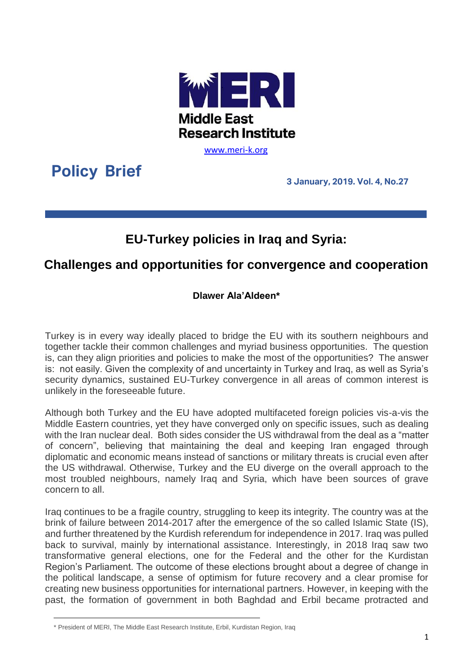

[www.meri-k.org](http://www.meri-k.org/)

**Policy Brief**

**3 January, 2019. Vol. 4, No.27**

## **EU-Turkey policies in Iraq and Syria:**

## **Challenges and opportunities for convergence and cooperation**

## **Dlawer Ala'Aldeen\***

Turkey is in every way ideally placed to bridge the EU with its southern neighbours and together tackle their common challenges and myriad business opportunities. The question is, can they align priorities and policies to make the most of the opportunities? The answer is: not easily. Given the complexity of and uncertainty in Turkey and Iraq, as well as Syria's security dynamics, sustained EU-Turkey convergence in all areas of common interest is unlikely in the foreseeable future.

Although both Turkey and the EU have adopted multifaceted foreign policies vis-a-vis the Middle Eastern countries, yet they have converged only on specific issues, such as dealing with the Iran nuclear deal. Both sides consider the US withdrawal from the deal as a "matter of concern", believing that maintaining the deal and keeping Iran engaged through diplomatic and economic means instead of sanctions or military threats is crucial even after the US withdrawal. Otherwise, Turkey and the EU diverge on the overall approach to the most troubled neighbours, namely Iraq and Syria, which have been sources of grave concern to all.

Iraq continues to be a fragile country, struggling to keep its integrity. The country was at the brink of failure between 2014-2017 after the emergence of the so called Islamic State (IS), and further threatened by the Kurdish referendum for independence in 2017. Iraq was pulled back to survival, mainly by international assistance. Interestingly, in 2018 Iraq saw two transformative general elections, one for the Federal and the other for the Kurdistan Region's Parliament. The outcome of these elections brought about a degree of change in the political landscape, a sense of optimism for future recovery and a clear promise for creating new business opportunities for international partners. However, in keeping with the past, the formation of government in both Baghdad and Erbil became protracted and

<sup>\*</sup> President of MERI, The Middle East Research Institute, Erbil, Kurdistan Region, Iraq